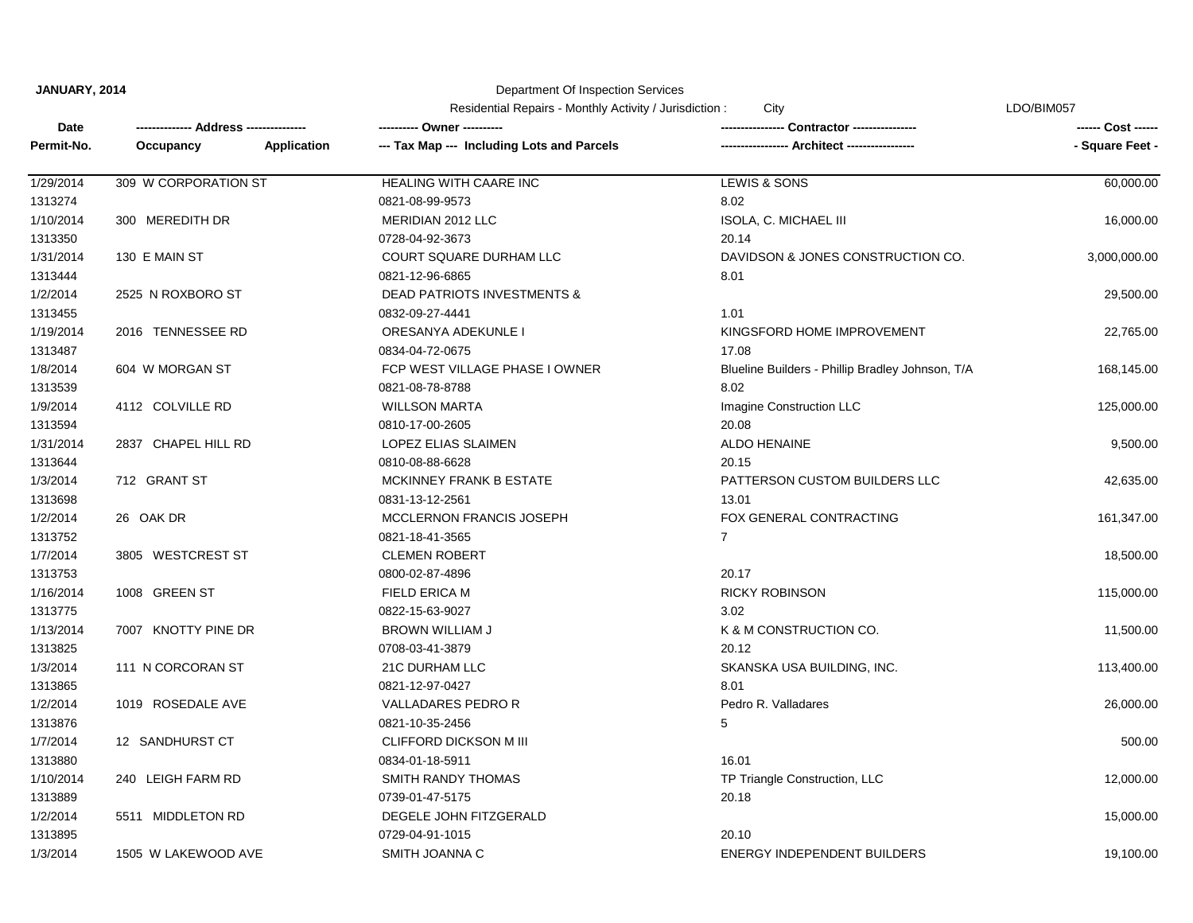## Department Of Inspection Services

|            |                      |             | Residential Repairs - Monthly Activity / Jurisdiction :<br>City |                                                  | LDO/BIM057      |  |
|------------|----------------------|-------------|-----------------------------------------------------------------|--------------------------------------------------|-----------------|--|
| Date       |                      |             | ---------- Owner ----------                                     | <b>Contractor ---------------</b>                |                 |  |
| Permit-No. | Occupancy            | Application | --- Tax Map --- Including Lots and Parcels                      | -- Architect ------                              | - Square Feet - |  |
| 1/29/2014  | 309 W CORPORATION ST |             | HEALING WITH CAARE INC                                          | LEWIS & SONS                                     | 60,000.00       |  |
| 1313274    |                      |             | 0821-08-99-9573                                                 | 8.02                                             |                 |  |
| 1/10/2014  | 300 MEREDITH DR      |             | MERIDIAN 2012 LLC                                               | ISOLA, C. MICHAEL III                            | 16,000.00       |  |
| 1313350    |                      |             | 0728-04-92-3673                                                 | 20.14                                            |                 |  |
| 1/31/2014  | 130 E MAIN ST        |             | COURT SQUARE DURHAM LLC                                         | DAVIDSON & JONES CONSTRUCTION CO.                | 3,000,000.00    |  |
| 1313444    |                      |             | 0821-12-96-6865                                                 | 8.01                                             |                 |  |
| 1/2/2014   | 2525 N ROXBORO ST    |             | <b>DEAD PATRIOTS INVESTMENTS &amp;</b>                          |                                                  | 29,500.00       |  |
| 1313455    |                      |             | 0832-09-27-4441                                                 | 1.01                                             |                 |  |
| 1/19/2014  | 2016 TENNESSEE RD    |             | ORESANYA ADEKUNLE I                                             | KINGSFORD HOME IMPROVEMENT                       | 22,765.00       |  |
| 1313487    |                      |             | 0834-04-72-0675                                                 | 17.08                                            |                 |  |
| 1/8/2014   | 604 W MORGAN ST      |             | FCP WEST VILLAGE PHASE I OWNER                                  | Blueline Builders - Phillip Bradley Johnson, T/A | 168,145.00      |  |
| 1313539    |                      |             | 0821-08-78-8788                                                 | 8.02                                             |                 |  |
| 1/9/2014   | 4112 COLVILLE RD     |             | <b>WILLSON MARTA</b>                                            | Imagine Construction LLC                         | 125,000.00      |  |
| 1313594    |                      |             | 0810-17-00-2605                                                 | 20.08                                            |                 |  |
| 1/31/2014  | 2837 CHAPEL HILL RD  |             | LOPEZ ELIAS SLAIMEN                                             | <b>ALDO HENAINE</b>                              | 9,500.00        |  |
| 1313644    |                      |             | 0810-08-88-6628                                                 | 20.15                                            |                 |  |
| 1/3/2014   | 712 GRANT ST         |             | MCKINNEY FRANK B ESTATE                                         | PATTERSON CUSTOM BUILDERS LLC                    | 42,635.00       |  |
| 1313698    |                      |             | 0831-13-12-2561                                                 | 13.01                                            |                 |  |
| 1/2/2014   | 26 OAK DR            |             | MCCLERNON FRANCIS JOSEPH                                        | FOX GENERAL CONTRACTING                          | 161,347.00      |  |
| 1313752    |                      |             | 0821-18-41-3565                                                 | $\overline{7}$                                   |                 |  |
| 1/7/2014   | 3805 WESTCREST ST    |             | <b>CLEMEN ROBERT</b>                                            |                                                  | 18,500.00       |  |
| 1313753    |                      |             | 0800-02-87-4896                                                 | 20.17                                            |                 |  |
| 1/16/2014  | 1008 GREEN ST        |             | <b>FIELD ERICA M</b>                                            | <b>RICKY ROBINSON</b>                            | 115,000.00      |  |
| 1313775    |                      |             | 0822-15-63-9027                                                 | 3.02                                             |                 |  |
| 1/13/2014  | 7007 KNOTTY PINE DR  |             | <b>BROWN WILLIAM J</b>                                          | K & M CONSTRUCTION CO.                           | 11,500.00       |  |
| 1313825    |                      |             | 0708-03-41-3879                                                 | 20.12                                            |                 |  |
| 1/3/2014   | 111 N CORCORAN ST    |             | 21C DURHAM LLC                                                  | SKANSKA USA BUILDING, INC.                       | 113,400.00      |  |
| 1313865    |                      |             | 0821-12-97-0427                                                 | 8.01                                             |                 |  |
| 1/2/2014   | 1019 ROSEDALE AVE    |             | <b>VALLADARES PEDRO R</b>                                       | Pedro R. Valladares                              | 26,000.00       |  |
| 1313876    |                      |             | 0821-10-35-2456                                                 | 5                                                |                 |  |
| 1/7/2014   | 12 SANDHURST CT      |             | <b>CLIFFORD DICKSON M III</b>                                   |                                                  | 500.00          |  |
| 1313880    |                      |             | 0834-01-18-5911                                                 | 16.01                                            |                 |  |
| 1/10/2014  | 240 LEIGH FARM RD    |             | SMITH RANDY THOMAS                                              | TP Triangle Construction, LLC                    | 12,000.00       |  |
| 1313889    |                      |             | 0739-01-47-5175                                                 | 20.18                                            |                 |  |
| 1/2/2014   | 5511 MIDDLETON RD    |             | DEGELE JOHN FITZGERALD                                          |                                                  | 15,000.00       |  |
| 1313895    |                      |             | 0729-04-91-1015                                                 | 20.10                                            |                 |  |
| 1/3/2014   | 1505 W LAKEWOOD AVE  |             | SMITH JOANNA C                                                  | ENERGY INDEPENDENT BUILDERS                      | 19,100.00       |  |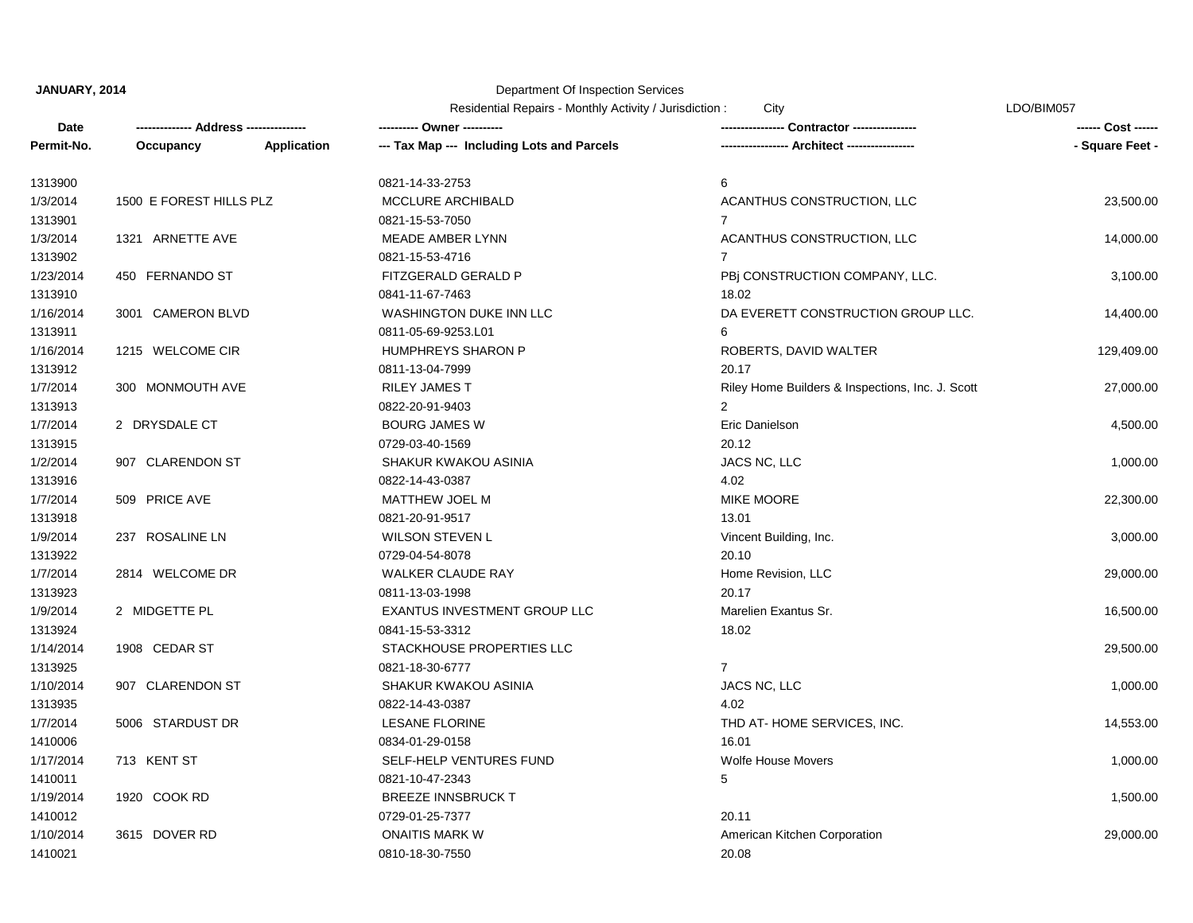### Department Of Inspection Services

**Date Occupancy -------------- Address --------------- ---------- Owner ---------- ---------------- Contractor ---------------- ------ Cost ------ Permit-No. Occupancy -- Application --- Tax Map --- Including Lots and Parcels ----------------------- Architect ----------------- 1998** - Square Feet -Residential Repairs - Monthly Activity / Jurisdiction : City Christian Communication Christian Christian Christian Christian Christian Christian Christian Christian Christian Christian Christian Christian Christian Christi 1410021 0810-18-30-7550 20.08 1/10/2014 3615 DOVER RD ONAITIS MARK W American Kitchen Corporation 29,000.00 1410012 0729-01-25-7377 20.11 1/19/2014 1920 COOK RD BREEZE INNSBRUCK T 1410011 0821-10-47-2343 5 1/17/2014 713 KENT ST STELL SELF-HELP VENTURES FUND Wolfe House Movers Novers 31,000.00 1410006 0834-01-29-0158 16.01 1/7/2014 5006 STARDUST DR LESANE FLORINE LESANE THE SERVICES, INC. 5006 STARDUST DR 14,553.00 1313935 0822-14-43-0387 4.02 1/10/2014 907 CLARENDON ST SHAKUR KWAKOU ASINIA JACS NC, LLC 1,000.00 1313925 0821-18-30-6777 7 1/14/2014 1908 CEDAR ST STACKHOUSE PROPERTIES LLC 29,500.00 1313924 0841-15-53-3312 18.02 1/9/2014 2 MIDGETTE PL EXANTUS INVESTMENT GROUP LLC Marelien Exantus Sr. 16,500.00 1313923 0811-13-03-1998 20.17 1/7/2014 2814 WELCOME DR WALKER CLAUDE RAY Home Revision, LLC 29,000.00 1313922 0729-04-54-8078 20.10 1/9/2014 237 ROSALINE LN 8000.00 WILSON STEVEN L WILSON STEVEN L Vincent Building, Inc. 3,000.00 3,000.00 1313918 0821-20-91-9517 13.01 1/7/2014 509 PRICE AVE MATTHEW JOEL M MIKE MOORE 22,300.00 1313916 0822-14-43-0387 4.02 1/2/2014 907 CLARENDON ST SHAKUR KWAKOU ASINIA JACS NC, LLC 1,000.00 1313915 0729-03-40-1569 20.12 1/7/2014 2 DRYSDALE CT BOURG JAMES W Eric Danielson 4,500.00 1313913 0822-20-91-9403 2 1/7/2014 300 MONMOUTH AVE RILEY JAMES T RILEY RILEY RILEY RILEY AND RILEY AND RILEY AND RILEY AND RILEY RILEY TO REALLY RILEY AND RILEY TO REALLY RILEY AND RILEY AND RILEY AND RILEY AND RILEY AND RILEY AND RILEY AND RILEY 1313912 0811-13-04-7999 20.17 1/16/2014 1215 WELCOME CIR HUMPHREYS SHARON P ROBERTS, DAVID WALTER 129,409.00 1313911 0811-05-69-9253.L01 6 1/16/2014 3001 CAMERON BLVD WASHINGTON DUKE INN LLC DA EVERETT CONSTRUCTION GROUP LLC. 14,400.00 1313910 0841-11-67-7463 18.02 1/23/2014 450 FERNANDO ST FITZGERALD GERALD P PBj CONSTRUCTION COMPANY, LLC. 3,100.00 1313902 0821-15-53-4716 7 1/3/2014 1321 ARNETTE AVE NEADE AMBER LYNN ACANTHUS CONSTRUCTION, LLC 14,000.00 1313901 0821-15-53-7050 7 1/3/2014 1500 E FOREST HILLS PLZ MCCLURE ARCHIBALD ACANTHUS CONSTRUCTION, LLC 23,500.00 1313900 0821-14-33-2753 6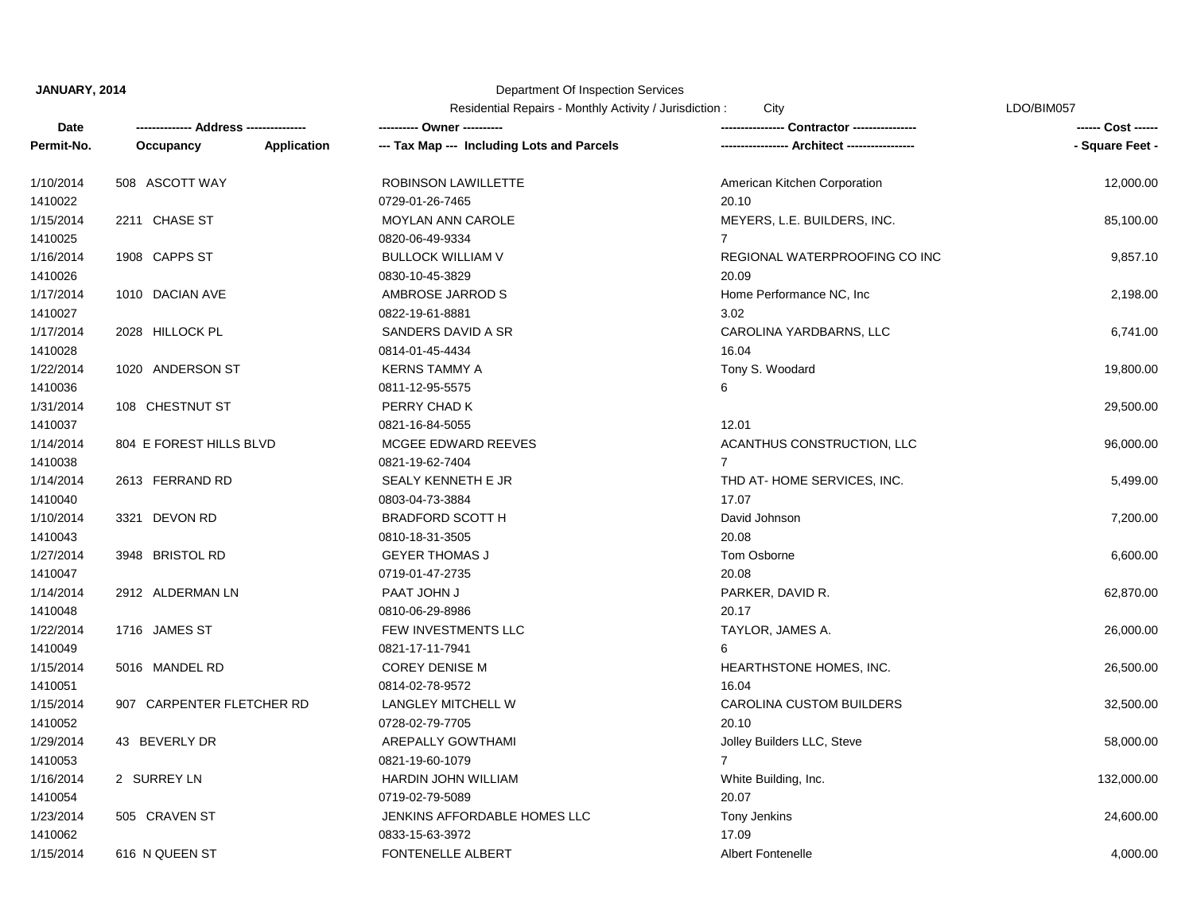### Department Of Inspection Services

|                    |                                        |                                                           | Residential Repairs - Monthly Activity / Jurisdiction:<br>City |                 |
|--------------------|----------------------------------------|-----------------------------------------------------------|----------------------------------------------------------------|-----------------|
| Date<br>Permit-No. | -------------- Address --------------- | --------- Owner ----------                                |                                                                |                 |
|                    | Occupancy                              | Application<br>--- Tax Map --- Including Lots and Parcels |                                                                | - Square Feet - |
| 1/10/2014          | 508 ASCOTT WAY                         | <b>ROBINSON LAWILLETTE</b>                                | American Kitchen Corporation                                   | 12,000.00       |
| 1410022            |                                        | 0729-01-26-7465                                           | 20.10                                                          |                 |
| 1/15/2014          | 2211 CHASE ST                          | <b>MOYLAN ANN CAROLE</b>                                  | MEYERS, L.E. BUILDERS, INC.                                    | 85,100.00       |
| 1410025            |                                        | 0820-06-49-9334                                           | $7^{\circ}$                                                    |                 |
| 1/16/2014          | 1908 CAPPS ST                          | <b>BULLOCK WILLIAM V</b>                                  | REGIONAL WATERPROOFING CO INC                                  | 9,857.10        |
| 1410026            |                                        | 0830-10-45-3829                                           | 20.09                                                          |                 |
| 1/17/2014          | 1010 DACIAN AVE                        | AMBROSE JARROD S                                          | Home Performance NC, Inc.                                      | 2,198.00        |
| 1410027            |                                        | 0822-19-61-8881                                           | 3.02                                                           |                 |
| 1/17/2014          | 2028 HILLOCK PL                        | SANDERS DAVID A SR                                        | CAROLINA YARDBARNS, LLC                                        | 6,741.00        |
| 1410028            |                                        | 0814-01-45-4434                                           | 16.04                                                          |                 |
| 1/22/2014          | 1020 ANDERSON ST                       | <b>KERNS TAMMY A</b>                                      | Tony S. Woodard                                                | 19,800.00       |
| 1410036            |                                        | 0811-12-95-5575                                           | 6                                                              |                 |
| 1/31/2014          | 108 CHESTNUT ST                        | PERRY CHAD K                                              |                                                                | 29,500.00       |
| 1410037            |                                        | 0821-16-84-5055                                           | 12.01                                                          |                 |
| 1/14/2014          | 804 E FOREST HILLS BLVD                | MCGEE EDWARD REEVES                                       | ACANTHUS CONSTRUCTION, LLC                                     | 96,000.00       |
| 1410038            |                                        | 0821-19-62-7404                                           | $\overline{7}$                                                 |                 |
| 1/14/2014          | 2613 FERRAND RD                        | SEALY KENNETH E JR                                        | THD AT-HOME SERVICES, INC.                                     | 5,499.00        |
| 1410040            |                                        | 0803-04-73-3884                                           | 17.07                                                          |                 |
| 1/10/2014          | 3321 DEVON RD                          | <b>BRADFORD SCOTT H</b>                                   | David Johnson                                                  | 7,200.00        |
| 1410043            |                                        | 0810-18-31-3505                                           | 20.08                                                          |                 |
| 1/27/2014          | 3948 BRISTOL RD                        | <b>GEYER THOMAS J</b>                                     | Tom Osborne                                                    | 6,600.00        |
| 1410047            |                                        | 0719-01-47-2735                                           | 20.08                                                          |                 |
| 1/14/2014          | 2912 ALDERMAN LN                       | PAAT JOHN J                                               | PARKER, DAVID R.                                               | 62,870.00       |
| 1410048            |                                        | 0810-06-29-8986                                           | 20.17                                                          |                 |
| 1/22/2014          | 1716 JAMES ST                          | FEW INVESTMENTS LLC                                       | TAYLOR, JAMES A.                                               | 26,000.00       |
| 1410049            |                                        | 0821-17-11-7941                                           | 6                                                              |                 |
| 1/15/2014          | 5016 MANDEL RD                         | <b>COREY DENISE M</b>                                     | HEARTHSTONE HOMES, INC.                                        | 26,500.00       |
| 1410051            |                                        | 0814-02-78-9572                                           | 16.04                                                          |                 |
| 1/15/2014          | 907 CARPENTER FLETCHER RD              | LANGLEY MITCHELL W                                        | CAROLINA CUSTOM BUILDERS                                       | 32,500.00       |
| 1410052            |                                        | 0728-02-79-7705                                           | 20.10                                                          |                 |
| 1/29/2014          | 43 BEVERLY DR                          | AREPALLY GOWTHAMI                                         | Jolley Builders LLC, Steve                                     | 58,000.00       |
| 1410053            |                                        | 0821-19-60-1079                                           | $\overline{7}$                                                 |                 |
| 1/16/2014          | 2 SURREY LN                            | HARDIN JOHN WILLIAM                                       | White Building, Inc.                                           | 132,000.00      |
| 1410054            |                                        | 0719-02-79-5089                                           | 20.07                                                          |                 |
| 1/23/2014          | 505 CRAVEN ST                          | JENKINS AFFORDABLE HOMES LLC                              | Tony Jenkins                                                   | 24,600.00       |
| 1410062            |                                        | 0833-15-63-3972                                           | 17.09                                                          |                 |

1/15/2014 616 N QUEEN ST **FONTENELLE ALBERT** Albert Fontenelle ALBERT 4,000.00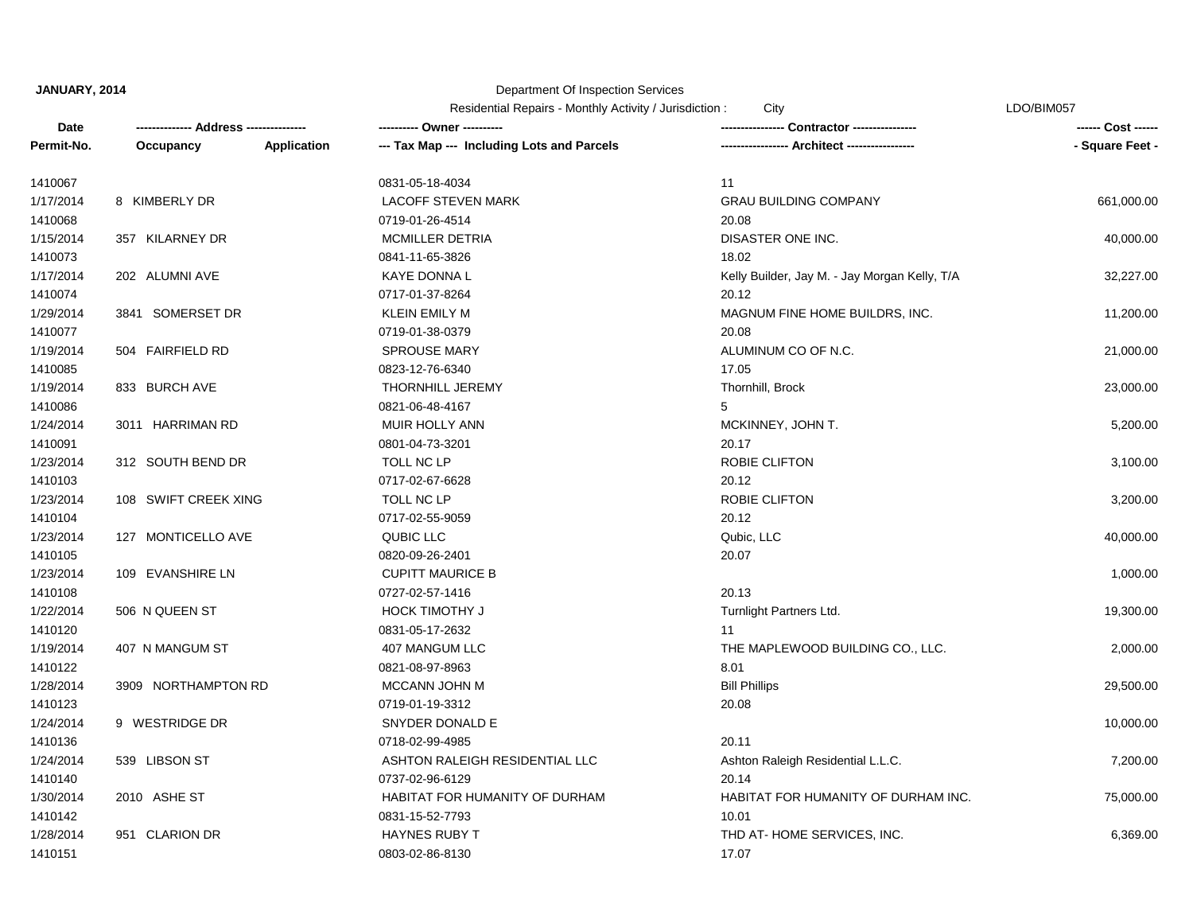### Department Of Inspection Services

Residential Repairs - Monthly Activity / Jurisdiction : City Christian Communication Christian Christian Christian Christian Christian Christian Christian Christian Christian Christian Christian Christian Christian Christi

**Date Occupancy -------------- Address --------------- ---------- Owner ---------- ---------------- Contractor ---------------- ------ Cost ------ Permit-No. Occupancy -- Application --- Tax Map --- Including Lots and Parcels ----------------------- Architect ----------------- 1998** - Square Feet -1410151 0803-02-86-8130 17.07 1/28/2014 951 CLARION DR HAYNES RUBY T SAND THE AT- HOME SERVICES, INC. 6,369.00 1410142 0831-15-52-7793 10.01 1/30/2014 2010 ASHE ST HABITAT FOR HUMANITY OF DURHAM HABITAT FOR HUMANITY OF DURHAM INC. 75,000.00 1410140 0737-02-96-6129 20.14 1/24/2014 539 LIBSON ST ASHTON RALEIGH RESIDENTIAL LLC Ashton Raleigh Residential L.L.C. 7,200.00 1410136 0718-02-99-4985 20.11 1/24/2014 9 WESTRIDGE DR SNYDER DONALD E 10,000.00 1410123 0719-01-19-3312 20.08 1/28/2014 3909 NORTHAMPTON RD MCCANN JOHN M Bill Phillips 29,500.00 1410122 0821-08-97-8963 8.01 1/19/2014 407 N MANGUM ST 407 MANGUM LLC THE MAPLEWOOD BUILDING CO., LLC. 2,000.00 1410120 0831-05-17-2632 11 1/22/2014 506 N QUEEN ST **HOCK TIMOTHY J HOCK TIMOTHY J** Turnlight Partners Ltd. 19,300.00 1410108 0727-02-57-1416 20.13 1/23/2014 109 EVANSHIRE LN CUPITT MAURICE B 1,000.00 1410105 0820-09-26-2401 20.07 1/23/2014 127 MONTICELLO AVE QUBIC LLC Qubic, LLC 40,000.00 1410104 0717-02-55-9059 20.12 1/23/2014 108 SWIFT CREEK XING TOLL NC LP TOLL NOT ROBIE CLIFTON ROBIE CLIFTON 3,200.00 1410103 0717-02-67-6628 20.12 1/23/2014 312 SOUTH BEND DR TOLL NC LP ROBIE CLIFTON 3,100.00 1410091 0801-04-73-3201 20.17 1/24/2014 3011 HARRIMAN RD MUIR HOLLY ANN MCKINNEY, JOHN T. 5,200.00 1410086 0821-06-48-4167 5 1/19/2014 833 BURCH AVE THORNHILL JEREMY Thornhill, Brock 23,000.00 1410085 0823-12-76-6340 17.05 1/19/2014 504 FAIRFIELD RD SPROUSE MARY ALUMINUM CO OF N.C. 21,000.00 1410077 0719-01-38-0379 20.08 1/29/2014 3841 SOMERSET DR KLEIN EMILY M KLEIN EMILY M MAGNUM FINE HOME BUILDRS, INC. 11,200.00 1410074 0717-01-37-8264 20.12 1/17/2014 202 ALUMNI AVE SALE KAYE DONNA L SALE KELLY Builder, Jay M. - Jay Morgan Kelly, T/A 32,227.00 1410073 0841-11-65-3826 18.02 1/15/2014 357 KILARNEY DR MCMILLER DETRIA DISASTER ONE INC. 40,000.00 1410068 0719-01-26-4514 20.08 1/17/2014 8 KIMBERLY DR LACOFF STEVEN MARK GRAU BUILDING COMPANY 661,000.00 1410067 0831-05-18-4034 11